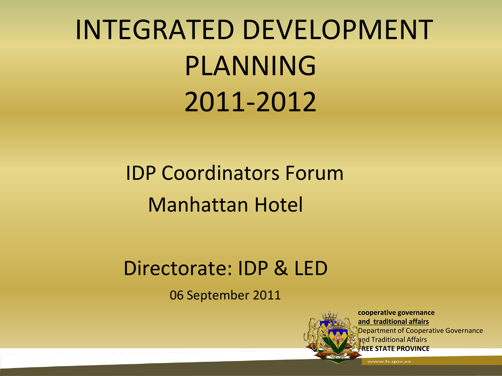# INTEGRATED DEVELOPMENT PLANNING 2011-2012

# IDP Coordinators Forum Manhattan Hotel

#### Directorate: IDP & LED

06 September 2011



**cooperative governance and traditional affairs** Department of Cooperative Governance and Traditional Affairs **REE STATE PROVINCE**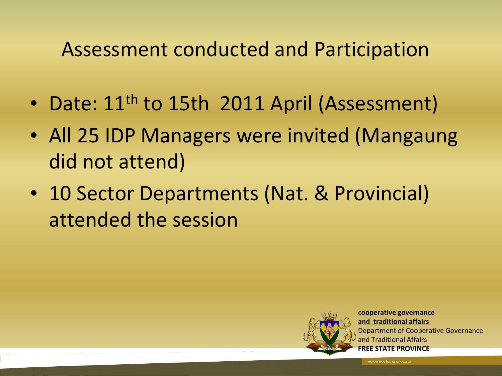#### Assessment conducted and Participation

- Date: 11<sup>th</sup> to 15th 2011 April (Assessment)
- All 25 IDP Managers were invited (Mangaung did not attend)
- 10 Sector Departments (Nat. & Provincial) attended the session



**cooperative governance and traditional affairs** Department of Cooperative Governance and Traditional Affairs **FREE STATE PROVINCE**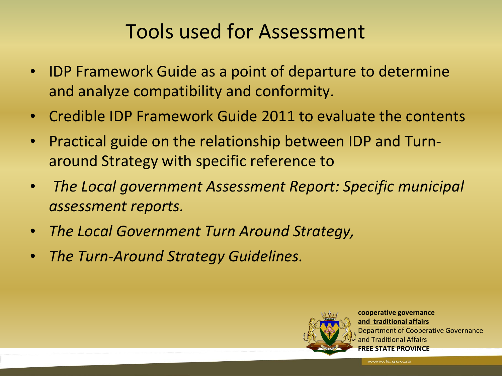#### Tools used for Assessment

- IDP Framework Guide as a point of departure to determine and analyze compatibility and conformity.
- Credible IDP Framework Guide 2011 to evaluate the contents
- Practical guide on the relationship between IDP and Turnaround Strategy with specific reference to
- *The Local government Assessment Report: Specific municipal assessment reports.*
- *The Local Government Turn Around Strategy,*
- *The Turn-Around Strategy Guidelines.*



**cooperative governance and traditional affairs** Department of Cooperative Governance and Traditional Affairs **FREE STATE PROVINCE**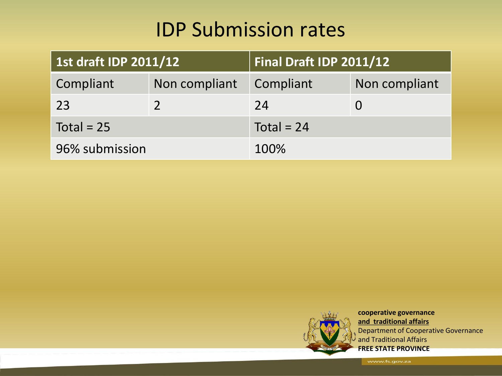#### IDP Submission rates

| 1st draft IDP 2011/12 |               | Final Draft IDP 2011/12 |               |
|-----------------------|---------------|-------------------------|---------------|
| Compliant             | Non compliant | Compliant               | Non compliant |
| 23                    |               | 24                      |               |
| Total = $25$          |               | Total = $24$            |               |
| 96% submission        |               | 100%                    |               |



**cooperative governance and traditional affairs** Department of Cooperative Governance and Traditional Affairs **FREE STATE PROVINCE**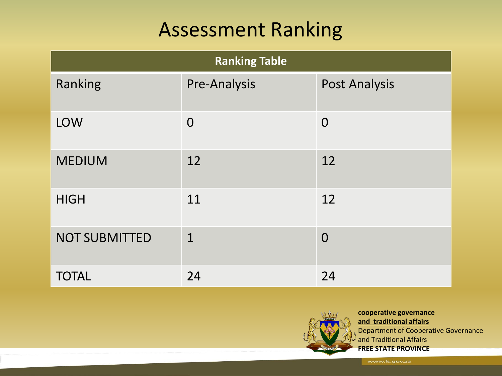#### Assessment Ranking

| <b>Ranking Table</b> |              |                      |  |
|----------------------|--------------|----------------------|--|
| Ranking              | Pre-Analysis | <b>Post Analysis</b> |  |
| <b>LOW</b>           | $\Omega$     | $\Omega$             |  |
| <b>MEDIUM</b>        | 12           | 12                   |  |
| <b>HIGH</b>          | 11           | 12                   |  |
| <b>NOT SUBMITTED</b> | $\mathbf 1$  | $\overline{0}$       |  |
| <b>TOTAL</b>         | 24           | 24                   |  |



**cooperative governance and traditional affairs** Department of Cooperative Governance and Traditional Affairs **FREE STATE PROVINCE**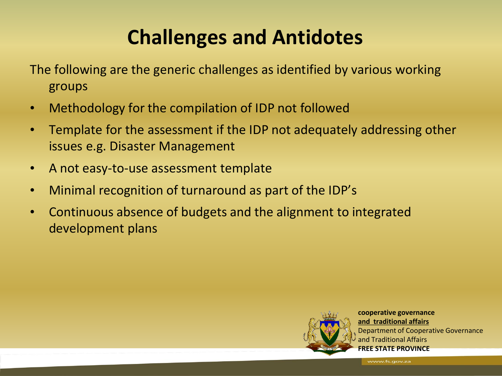# **Challenges and Antidotes**

The following are the generic challenges as identified by various working groups

- Methodology for the compilation of IDP not followed
- Template for the assessment if the IDP not adequately addressing other issues e.g. Disaster Management
- A not easy-to-use assessment template
- Minimal recognition of turnaround as part of the IDP's
- Continuous absence of budgets and the alignment to integrated development plans



**cooperative governance and traditional affairs** Department of Cooperative Governance and Traditional Affairs **FREE STATE PROVINCE**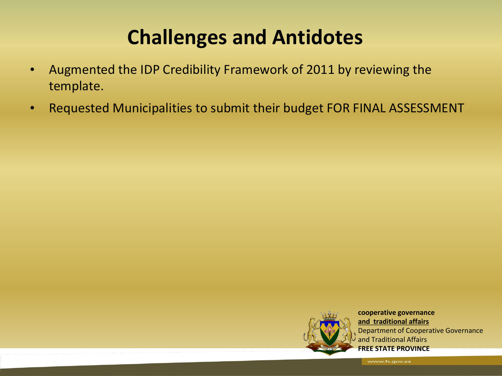### **Challenges and Antidotes**

- Augmented the IDP Credibility Framework of 2011 by reviewing the template.
- Requested Municipalities to submit their budget FOR FINAL ASSESSMENT



**cooperative governance and traditional affairs** Department of Cooperative Governance and Traditional Affairs **FREE STATE PROVINCE**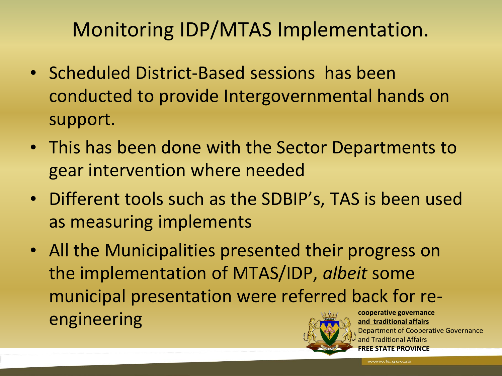#### Monitoring IDP/MTAS Implementation.

- Scheduled District-Based sessions has been conducted to provide Intergovernmental hands on support.
- This has been done with the Sector Departments to gear intervention where needed
- Different tools such as the SDBIP's, TAS is been used as measuring implements
- All the Municipalities presented their progress on the implementation of MTAS/IDP, *albeit* some municipal presentation were referred back for reengineering and traditional affairs and the cooperative governance **and traditional affairs**



Department of Cooperative Governance and Traditional Affairs **STATE PROVINCE**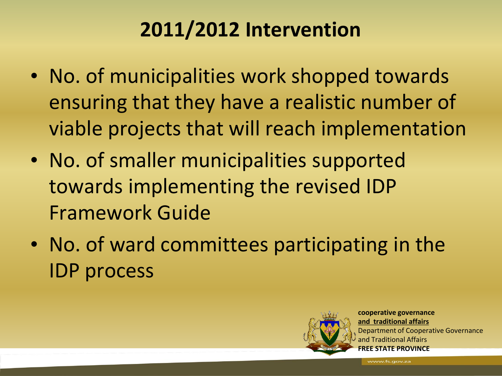# **2011/2012 Intervention**

- No. of municipalities work shopped towards ensuring that they have a realistic number of viable projects that will reach implementation
- No. of smaller municipalities supported towards implementing the revised IDP Framework Guide
- No. of ward committees participating in the IDP process



**cooperative governance and traditional affairs** Department of Cooperative Governance and Traditional Affairs **STATE PROVINCE**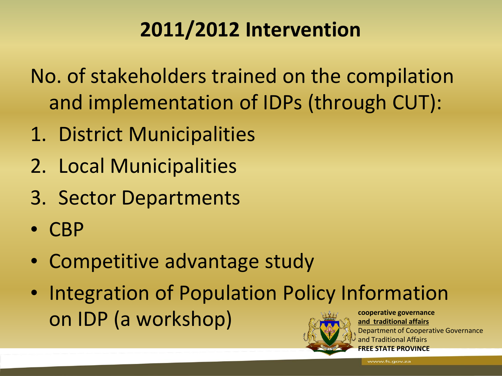# **2011/2012 Intervention**

No. of stakeholders trained on the compilation and implementation of IDPs (through CUT):

- 1. District Municipalities
- 2. Local Municipalities
- 3. Sector Departments
- CBP
- Competitive advantage study
- **cooperative governance and traditional affairs** • Integration of Population Policy Information on IDP (a workshop)



Department of Cooperative Governance and Traditional Affairs **FREE STATE PROVINCE**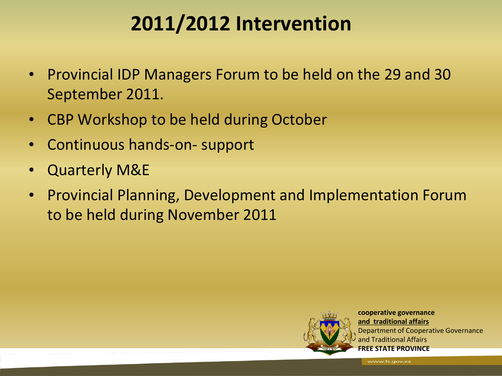#### **2011/2012 Intervention**

- Provincial IDP Managers Forum to be held on the 29 and 30 September 2011.
- CBP Workshop to be held during October
- Continuous hands-on- support
- Quarterly M&E
- Provincial Planning, Development and Implementation Forum to be held during November 2011



**cooperative governance and traditional affairs** Department of Cooperative Governance and Traditional Affairs **FREE STATE PROVINCE**